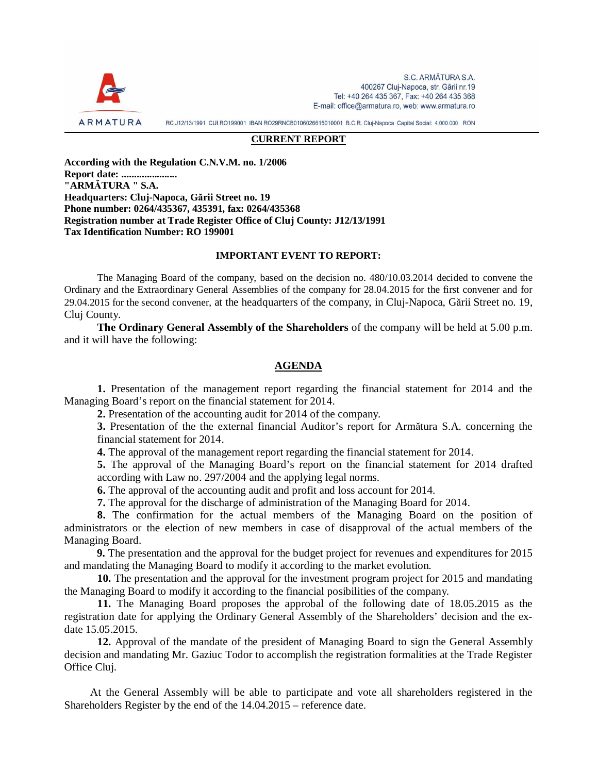

S.C. ARMĂTURA S.A. 400267 Cluj-Napoca, str. Gării nr.19 Tel: +40 264 435 367, Fax: +40 264 435 368 E-mail: office@armatura.ro, web: www.armatura.ro

RC J12/13/1991 CUI RO199001 IBAN RO29RNCB0106026615010001 B.C.R. Cluj-Napoca Capital Social: 4.000.000 RON

### **CURRENT REPORT**

**According with the Regulation C.N.V.M. no. 1/2006 Report date: ...................... "ARMĂTURA " S.A. Headquarters: Cluj-Napoca, Gării Street no. 19 Phone number: 0264/435367, 435391, fax: 0264/435368 Registration number at Trade Register Office of Cluj County: J12/13/1991 Tax Identification Number: RO 199001** 

#### **IMPORTANT EVENT TO REPORT:**

The Managing Board of the company, based on the decision no. 480/10.03.2014 decided to convene the Ordinary and the Extraordinary General Assemblies of the company for 28.04.2015 for the first convener and for 29.04.2015 for the second convener, at the headquarters of the company, in Cluj-Napoca, Gării Street no. 19, Cluj County.

**The Ordinary General Assembly of the Shareholders** of the company will be held at 5.00 p.m. and it will have the following:

# **AGENDA**

**1.** Presentation of the management report regarding the financial statement for 2014 and the Managing Board's report on the financial statement for 2014.

**2.** Presentation of the accounting audit for 2014 of the company.

**3.** Presentation of the the external financial Auditor's report for Armătura S.A. concerning the financial statement for 2014.

**4.** The approval of the management report regarding the financial statement for 2014.

**5.** The approval of the Managing Board's report on the financial statement for 2014 drafted according with Law no. 297/2004 and the applying legal norms.

**6.** The approval of the accounting audit and profit and loss account for 2014.

**7.** The approval for the discharge of administration of the Managing Board for 2014.

**8.** The confirmation for the actual members of the Managing Board on the position of administrators or the election of new members in case of disapproval of the actual members of the Managing Board.

**9.** The presentation and the approval for the budget project for revenues and expenditures for 2015 and mandating the Managing Board to modify it according to the market evolution.

**10.** The presentation and the approval for the investment program project for 2015 and mandating the Managing Board to modify it according to the financial posibilities of the company.

**11.** The Managing Board proposes the approbal of the following date of 18.05.2015 as the registration date for applying the Ordinary General Assembly of the Shareholders' decision and the exdate 15.05.2015.

**12.** Approval of the mandate of the president of Managing Board to sign the General Assembly decision and mandating Mr. Gaziuc Todor to accomplish the registration formalities at the Trade Register Office Cluj.

At the General Assembly will be able to participate and vote all shareholders registered in the Shareholders Register by the end of the 14.04.2015 – reference date.